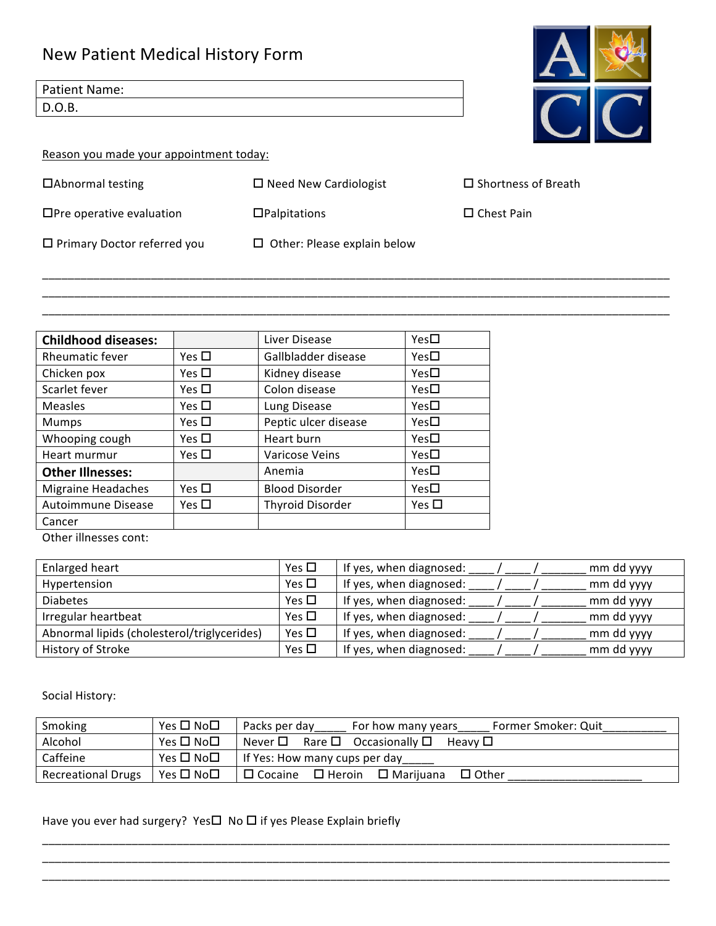## New Patient Medical History Form

Patient Name: D.O.B.

Reason you made your appointment today:

 $\Box$ Abnormal testing  $\Box$  Need New Cardiologist  $\Box$  Shortness of Breath

 $\square$  Primary Doctor referred you  $\square$  Other: Please explain below

\_\_\_\_\_\_\_\_\_\_\_\_\_\_\_\_\_\_\_\_\_\_\_\_\_\_\_\_\_\_\_\_\_\_\_\_\_\_\_\_\_\_\_\_\_\_\_\_\_\_\_\_\_\_\_\_\_\_\_\_\_\_\_\_\_\_\_\_\_\_\_\_\_\_\_\_\_\_\_\_\_\_\_\_\_\_\_\_\_\_\_\_\_\_\_\_\_\_ \_\_\_\_\_\_\_\_\_\_\_\_\_\_\_\_\_\_\_\_\_\_\_\_\_\_\_\_\_\_\_\_\_\_\_\_\_\_\_\_\_\_\_\_\_\_\_\_\_\_\_\_\_\_\_\_\_\_\_\_\_\_\_\_\_\_\_\_\_\_\_\_\_\_\_\_\_\_\_\_\_\_\_\_\_\_\_\_\_\_\_\_\_\_\_\_\_\_ \_\_\_\_\_\_\_\_\_\_\_\_\_\_\_\_\_\_\_\_\_\_\_\_\_\_\_\_\_\_\_\_\_\_\_\_\_\_\_\_\_\_\_\_\_\_\_\_\_\_\_\_\_\_\_\_\_\_\_\_\_\_\_\_\_\_\_\_\_\_\_\_\_\_\_\_\_\_\_\_\_\_\_\_\_\_\_\_\_\_\_\_\_\_\_\_\_\_

| <b>Childhood diseases:</b> |               | Liver Disease           | $Yes\square$  |
|----------------------------|---------------|-------------------------|---------------|
| Rheumatic fever            | Yes $\square$ | Gallbladder disease     | $Yes\square$  |
| Chicken pox                | Yes $\square$ | Kidney disease          | $Yes\square$  |
| Scarlet fever              | Yes $\square$ | Colon disease           | $Yes\square$  |
| Measles                    | Yes $\square$ | Lung Disease            | Yes $\square$ |
| Mumps                      | Yes $\square$ | Peptic ulcer disease    | Yes□          |
| Whooping cough             | Yes $\square$ | Heart burn              | $Yes\square$  |
| Heart murmur               | Yes $\square$ | Varicose Veins          | Yes $\square$ |
| <b>Other Illnesses:</b>    |               | Anemia                  | $Yes\square$  |
| <b>Migraine Headaches</b>  | Yes $\square$ | <b>Blood Disorder</b>   | $Yes\square$  |
| Autoimmune Disease         | Yes $\square$ | <b>Thyroid Disorder</b> | Yes $\square$ |
| Cancer                     |               |                         |               |

Other illnesses cont:

| Enlarged heart                              | Yes $\square$ | If yes, when diagnosed:<br>mm dd yyyy |
|---------------------------------------------|---------------|---------------------------------------|
| Hypertension                                | Yes $\Box$    | If yes, when diagnosed:<br>mm dd yyyy |
| <b>Diabetes</b>                             | Yes $\square$ | If yes, when diagnosed:<br>mm dd yyyy |
| Irregular heartbeat                         | Yes $\square$ | If yes, when diagnosed:<br>mm dd yyyy |
| Abnormal lipids (cholesterol/triglycerides) | Yes $\Box$    | If yes, when diagnosed:<br>mm dd yyyy |
| History of Stroke                           | Yes $\Box$    | If yes, when diagnosed:<br>mm dd yyyy |

Social History:

| Smoking                   | Yes □ No□ | Former Smoker: Quit<br>Packs per day<br>For how many years       |
|---------------------------|-----------|------------------------------------------------------------------|
| Alcohol                   | Yes □ No□ | Never $\square$ Rare $\square$ Occasionally $\square$<br>Heavv □ |
| Caffeine                  | Yes □ No□ | If Yes: How many cups per day                                    |
| <b>Recreational Drugs</b> | Yes □ No□ | $\Box$ Cocaine<br>$\Box$ Heroin $\Box$ Mariiuana<br>$\Box$ Other |

\_\_\_\_\_\_\_\_\_\_\_\_\_\_\_\_\_\_\_\_\_\_\_\_\_\_\_\_\_\_\_\_\_\_\_\_\_\_\_\_\_\_\_\_\_\_\_\_\_\_\_\_\_\_\_\_\_\_\_\_\_\_\_\_\_\_\_\_\_\_\_\_\_\_\_\_\_\_\_\_\_\_\_\_\_\_\_\_\_\_\_\_\_\_\_\_\_\_ \_\_\_\_\_\_\_\_\_\_\_\_\_\_\_\_\_\_\_\_\_\_\_\_\_\_\_\_\_\_\_\_\_\_\_\_\_\_\_\_\_\_\_\_\_\_\_\_\_\_\_\_\_\_\_\_\_\_\_\_\_\_\_\_\_\_\_\_\_\_\_\_\_\_\_\_\_\_\_\_\_\_\_\_\_\_\_\_\_\_\_\_\_\_\_\_\_\_ \_\_\_\_\_\_\_\_\_\_\_\_\_\_\_\_\_\_\_\_\_\_\_\_\_\_\_\_\_\_\_\_\_\_\_\_\_\_\_\_\_\_\_\_\_\_\_\_\_\_\_\_\_\_\_\_\_\_\_\_\_\_\_\_\_\_\_\_\_\_\_\_\_\_\_\_\_\_\_\_\_\_\_\_\_\_\_\_\_\_\_\_\_\_\_\_\_\_

Have you ever had surgery? Yes $\Box$  No  $\Box$  if yes Please Explain briefly



 $\Box$ Pre operative evaluation  $\Box$ Palpitations  $\Box$  Chest Pain